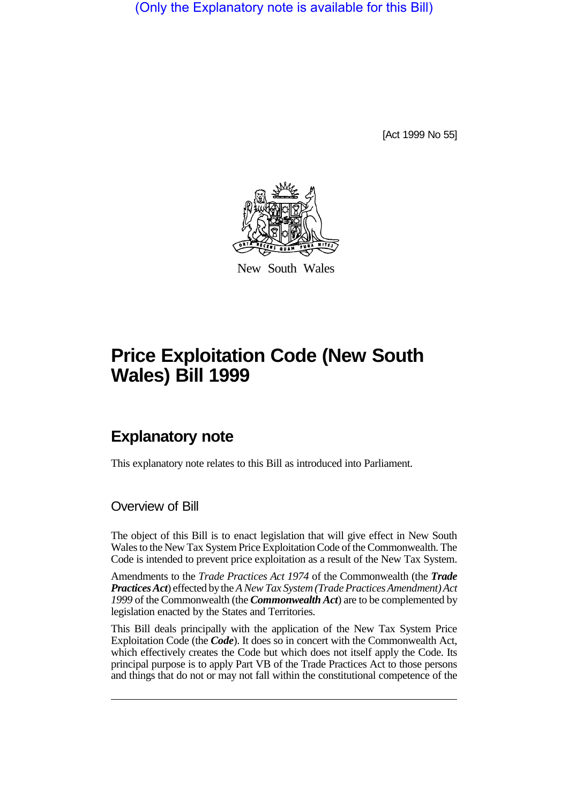(Only the Explanatory note is available for this Bill)

[Act 1999 No 55]



New South Wales

# **Price Exploitation Code (New South Wales) Bill 1999**

## **Explanatory note**

This explanatory note relates to this Bill as introduced into Parliament.

#### Overview of Bill

The object of this Bill is to enact legislation that will give effect in New South Wales to the New Tax System Price Exploitation Code of the Commonwealth. The Code is intended to prevent price exploitation as a result of the New Tax System.

Amendments to the *Trade Practices Act 1974* of the Commonwealth (the *Trade Practices Act*) effected by the *A New Tax System (Trade Practices Amendment) Act 1999* of the Commonwealth (the *Commonwealth Act*) are to be complemented by legislation enacted by the States and Territories.

This Bill deals principally with the application of the New Tax System Price Exploitation Code (the *Code*). It does so in concert with the Commonwealth Act, which effectively creates the Code but which does not itself apply the Code. Its principal purpose is to apply Part VB of the Trade Practices Act to those persons and things that do not or may not fall within the constitutional competence of the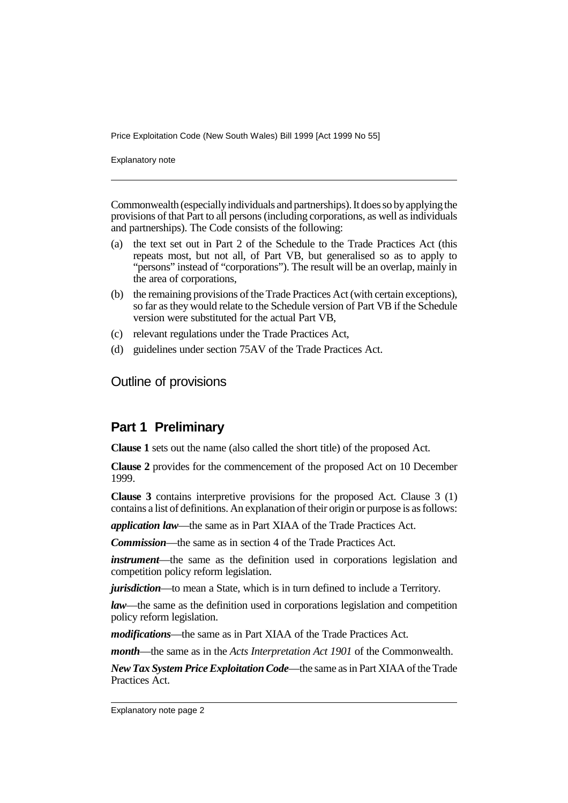Explanatory note

Commonwealth (especially individuals and partnerships). It does so by applying the provisions of that Part to all persons (including corporations, as well as individuals and partnerships). The Code consists of the following:

- (a) the text set out in Part 2 of the Schedule to the Trade Practices Act (this repeats most, but not all, of Part VB, but generalised so as to apply to "persons" instead of "corporations"). The result will be an overlap, mainly in the area of corporations,
- (b) the remaining provisions of the Trade Practices Act (with certain exceptions), so far as they would relate to the Schedule version of Part VB if the Schedule version were substituted for the actual Part VB,
- (c) relevant regulations under the Trade Practices Act,
- (d) guidelines under section 75AV of the Trade Practices Act.

Outline of provisions

#### **Part 1 Preliminary**

**Clause 1** sets out the name (also called the short title) of the proposed Act.

**Clause 2** provides for the commencement of the proposed Act on 10 December 1999.

**Clause 3** contains interpretive provisions for the proposed Act. Clause 3 (1) contains a list of definitions. An explanation of their origin or purpose is as follows:

*application law*—the same as in Part XIAA of the Trade Practices Act.

*Commission*—the same as in section 4 of the Trade Practices Act.

*instrument*—the same as the definition used in corporations legislation and competition policy reform legislation.

*jurisdiction*—to mean a State, which is in turn defined to include a Territory.

*law*—the same as the definition used in corporations legislation and competition policy reform legislation.

*modifications*—the same as in Part XIAA of the Trade Practices Act.

*month*—the same as in the *Acts Interpretation Act 1901* of the Commonwealth.

*New Tax System Price Exploitation Code*—the same as in Part XIAA of the Trade Practices Act.

Explanatory note page 2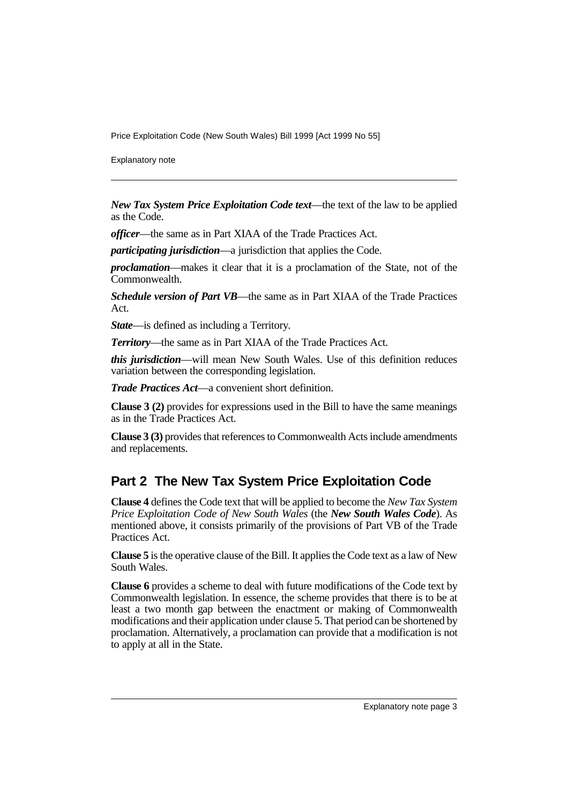Explanatory note

*New Tax System Price Exploitation Code text*—the text of the law to be applied as the Code.

*officer*—the same as in Part XIAA of the Trade Practices Act.

*participating jurisdiction*—a jurisdiction that applies the Code.

*proclamation*—makes it clear that it is a proclamation of the State, not of the Commonwealth.

*Schedule version of Part VB*—the same as in Part XIAA of the Trade Practices Act.

*State*—is defined as including a Territory.

*Territory*—the same as in Part XIAA of the Trade Practices Act.

*this jurisdiction*—will mean New South Wales. Use of this definition reduces variation between the corresponding legislation.

*Trade Practices Act*—a convenient short definition.

**Clause 3 (2)** provides for expressions used in the Bill to have the same meanings as in the Trade Practices Act.

**Clause 3 (3)** provides that references to Commonwealth Acts include amendments and replacements.

### **Part 2 The New Tax System Price Exploitation Code**

**Clause 4** defines the Code text that will be applied to become the *New Tax System Price Exploitation Code of New South Wales* (the *New South Wales Code*). As mentioned above, it consists primarily of the provisions of Part VB of the Trade Practices Act.

**Clause 5** is the operative clause of the Bill. It applies the Code text as a law of New South Wales.

**Clause 6** provides a scheme to deal with future modifications of the Code text by Commonwealth legislation. In essence, the scheme provides that there is to be at least a two month gap between the enactment or making of Commonwealth modifications and their application under clause 5. That period can be shortened by proclamation. Alternatively, a proclamation can provide that a modification is not to apply at all in the State.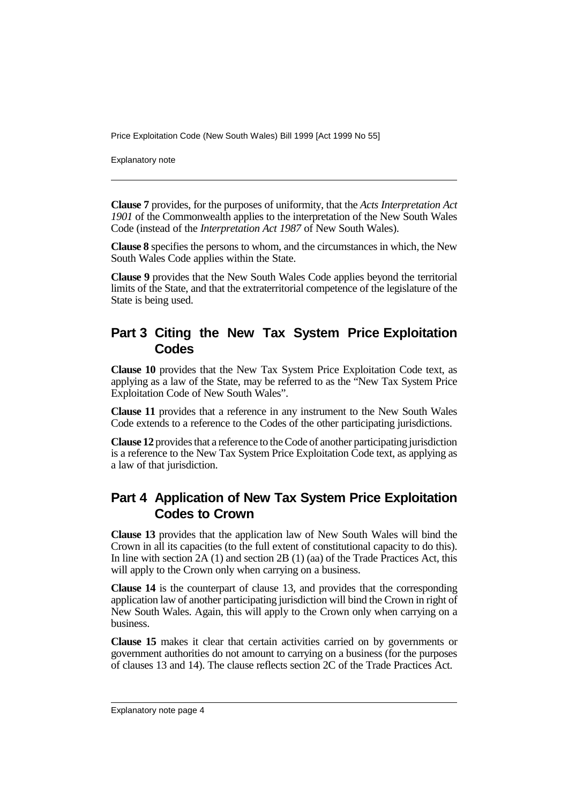Explanatory note

**Clause 7** provides, for the purposes of uniformity, that the *Acts Interpretation Act 1901* of the Commonwealth applies to the interpretation of the New South Wales Code (instead of the *Interpretation Act 1987* of New South Wales).

**Clause 8** specifies the persons to whom, and the circumstances in which, the New South Wales Code applies within the State.

**Clause 9** provides that the New South Wales Code applies beyond the territorial limits of the State, and that the extraterritorial competence of the legislature of the State is being used.

### **Part 3 Citing the New Tax System Price Exploitation Codes**

**Clause 10** provides that the New Tax System Price Exploitation Code text, as applying as a law of the State, may be referred to as the "New Tax System Price Exploitation Code of New South Wales".

**Clause 11** provides that a reference in any instrument to the New South Wales Code extends to a reference to the Codes of the other participating jurisdictions.

**Clause 12** provides that a reference to the Code of another participating jurisdiction is a reference to the New Tax System Price Exploitation Code text, as applying as a law of that jurisdiction.

### **Part 4 Application of New Tax System Price Exploitation Codes to Crown**

**Clause 13** provides that the application law of New South Wales will bind the Crown in all its capacities (to the full extent of constitutional capacity to do this). In line with section  $2A(1)$  and section  $2B(1)(aa)$  of the Trade Practices Act, this will apply to the Crown only when carrying on a business.

**Clause 14** is the counterpart of clause 13, and provides that the corresponding application law of another participating jurisdiction will bind the Crown in right of New South Wales. Again, this will apply to the Crown only when carrying on a business.

**Clause 15** makes it clear that certain activities carried on by governments or government authorities do not amount to carrying on a business (for the purposes of clauses 13 and 14). The clause reflects section 2C of the Trade Practices Act.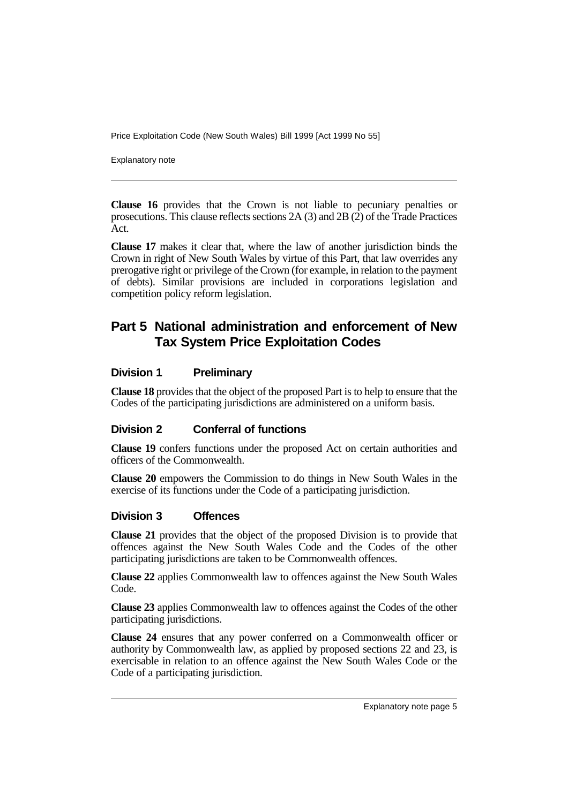Explanatory note

**Clause 16** provides that the Crown is not liable to pecuniary penalties or prosecutions. This clause reflects sections 2A (3) and 2B (2) of the Trade Practices Act.

**Clause 17** makes it clear that, where the law of another jurisdiction binds the Crown in right of New South Wales by virtue of this Part, that law overrides any prerogative right or privilege of the Crown (for example, in relation to the payment of debts). Similar provisions are included in corporations legislation and competition policy reform legislation.

### **Part 5 National administration and enforcement of New Tax System Price Exploitation Codes**

#### **Division 1 Preliminary**

**Clause 18** provides that the object of the proposed Part is to help to ensure that the Codes of the participating jurisdictions are administered on a uniform basis.

#### **Division 2 Conferral of functions**

**Clause 19** confers functions under the proposed Act on certain authorities and officers of the Commonwealth.

**Clause 20** empowers the Commission to do things in New South Wales in the exercise of its functions under the Code of a participating jurisdiction.

#### **Division 3 Offences**

**Clause 21** provides that the object of the proposed Division is to provide that offences against the New South Wales Code and the Codes of the other participating jurisdictions are taken to be Commonwealth offences.

**Clause 22** applies Commonwealth law to offences against the New South Wales Code.

**Clause 23** applies Commonwealth law to offences against the Codes of the other participating jurisdictions.

**Clause 24** ensures that any power conferred on a Commonwealth officer or authority by Commonwealth law, as applied by proposed sections 22 and 23, is exercisable in relation to an offence against the New South Wales Code or the Code of a participating jurisdiction.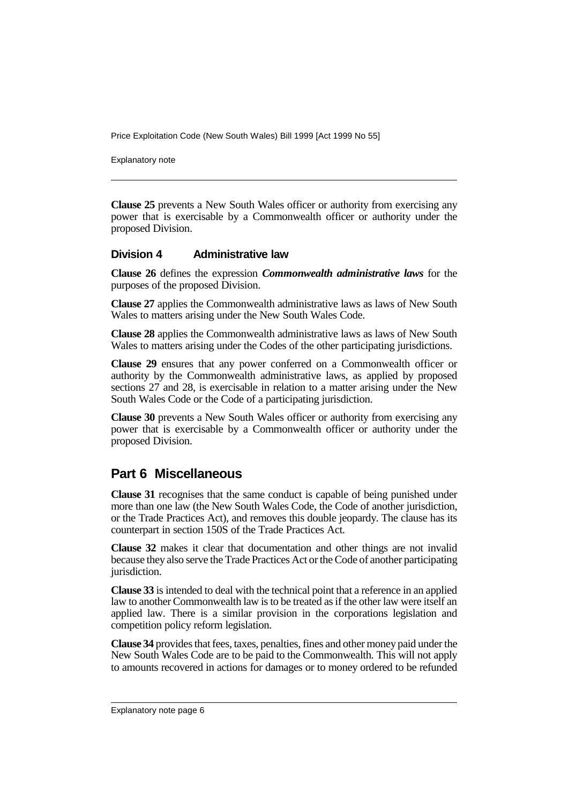Explanatory note

**Clause 25** prevents a New South Wales officer or authority from exercising any power that is exercisable by a Commonwealth officer or authority under the proposed Division.

#### **Division 4 Administrative law**

**Clause 26** defines the expression *Commonwealth administrative laws* for the purposes of the proposed Division.

**Clause 27** applies the Commonwealth administrative laws as laws of New South Wales to matters arising under the New South Wales Code.

**Clause 28** applies the Commonwealth administrative laws as laws of New South Wales to matters arising under the Codes of the other participating jurisdictions.

**Clause 29** ensures that any power conferred on a Commonwealth officer or authority by the Commonwealth administrative laws, as applied by proposed sections 27 and 28, is exercisable in relation to a matter arising under the New South Wales Code or the Code of a participating jurisdiction.

**Clause 30** prevents a New South Wales officer or authority from exercising any power that is exercisable by a Commonwealth officer or authority under the proposed Division.

### **Part 6 Miscellaneous**

**Clause 31** recognises that the same conduct is capable of being punished under more than one law (the New South Wales Code, the Code of another jurisdiction, or the Trade Practices Act), and removes this double jeopardy. The clause has its counterpart in section 150S of the Trade Practices Act.

**Clause 32** makes it clear that documentation and other things are not invalid because they also serve the Trade Practices Act or the Code of another participating jurisdiction.

**Clause 33** is intended to deal with the technical point that a reference in an applied law to another Commonwealth law is to be treated as if the other law were itself an applied law. There is a similar provision in the corporations legislation and competition policy reform legislation.

**Clause 34** provides that fees, taxes, penalties, fines and other money paid under the New South Wales Code are to be paid to the Commonwealth. This will not apply to amounts recovered in actions for damages or to money ordered to be refunded